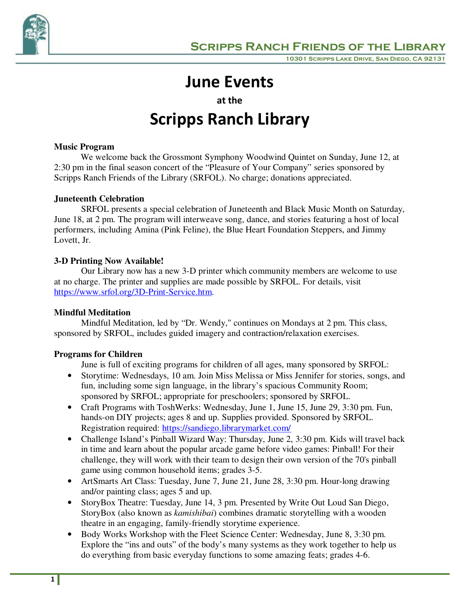

**June Events** 

**at the** 

# **Scripps Ranch Library**

## **Music Program**

We welcome back the Grossmont Symphony Woodwind Quintet on Sunday, June 12, at 2:30 pm in the final season concert of the "Pleasure of Your Company" series sponsored by Scripps Ranch Friends of the Library (SRFOL). No charge; donations appreciated.

## **Juneteenth Celebration**

SRFOL presents a special celebration of Juneteenth and Black Music Month on Saturday, June 18, at 2 pm. The program will interweave song, dance, and stories featuring a host of local performers, including Amina (Pink Feline), the Blue Heart Foundation Steppers, and Jimmy Lovett, Jr.

## **3-D Printing Now Available!**

 Our Library now has a new 3-D printer which community members are welcome to use at no charge. The printer and supplies are made possible by SRFOL. For details, visit https://www.srfol.org/3D-Print-Service.htm.

## **Mindful Meditation**

Mindful Meditation, led by "Dr. Wendy," continues on Mondays at 2 pm. This class, sponsored by SRFOL, includes guided imagery and contraction/relaxation exercises.

## **Programs for Children**

June is full of exciting programs for children of all ages, many sponsored by SRFOL:

- Storytime: Wednesdays, 10 am. Join Miss Melissa or Miss Jennifer for stories, songs, and fun, including some sign language, in the library's spacious Community Room; sponsored by SRFOL; appropriate for preschoolers; sponsored by SRFOL.
- Craft Programs with ToshWerks: Wednesday, June 1, June 15, June 29, 3:30 pm. Fun, hands-on DIY projects; ages 8 and up. Supplies provided. Sponsored by SRFOL. Registration required: https://sandiego.librarymarket.com/
- Challenge Island's Pinball Wizard Way: Thursday, June 2, 3:30 pm. Kids will travel back in time and learn about the popular arcade game before video games: Pinball! For their challenge, they will work with their team to design their own version of the 70's pinball game using common household items; grades 3-5.
- ArtSmarts Art Class: Tuesday, June 7, June 21, June 28, 3:30 pm. Hour-long drawing and/or painting class; ages 5 and up.
- StoryBox Theatre: Tuesday, June 14, 3 pm. Presented by Write Out Loud San Diego, StoryBox (also known as *kamishibai*) combines dramatic storytelling with a wooden theatre in an engaging, family-friendly storytime experience.
- Body Works Workshop with the Fleet Science Center: Wednesday, June 8, 3:30 pm. Explore the "ins and outs" of the body's many systems as they work together to help us do everything from basic everyday functions to some amazing feats; grades 4-6.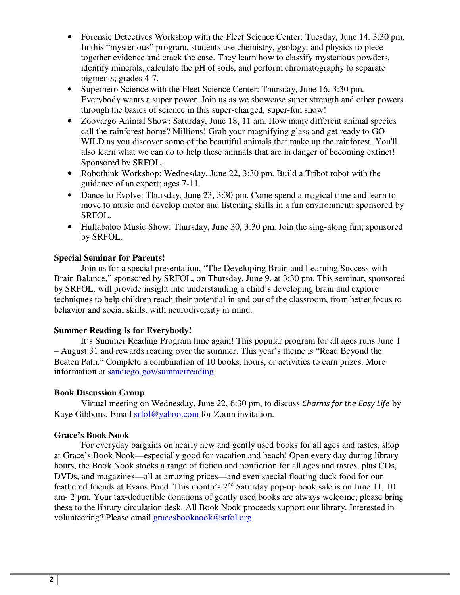- Forensic Detectives Workshop with the Fleet Science Center: Tuesday, June 14, 3:30 pm. In this "mysterious" program, students use chemistry, geology, and physics to piece together evidence and crack the case. They learn how to classify mysterious powders, identify minerals, calculate the pH of soils, and perform chromatography to separate pigments; grades 4-7.
- Superhero Science with the Fleet Science Center: Thursday, June 16, 3:30 pm. Everybody wants a super power. Join us as we showcase super strength and other powers through the basics of science in this super-charged, super-fun show!
- Zoovargo Animal Show: Saturday, June 18, 11 am. How many different animal species call the rainforest home? Millions! Grab your magnifying glass and get ready to GO WILD as you discover some of the beautiful animals that make up the rainforest. You'll also learn what we can do to help these animals that are in danger of becoming extinct! Sponsored by SRFOL.
- Robothink Workshop: Wednesday, June 22, 3:30 pm. Build a Tribot robot with the guidance of an expert; ages 7-11.
- Dance to Evolve: Thursday, June 23, 3:30 pm. Come spend a magical time and learn to move to music and develop motor and listening skills in a fun environment; sponsored by SRFOL.
- Hullabaloo Music Show: Thursday, June 30, 3:30 pm. Join the sing-along fun; sponsored by SRFOL.

## **Special Seminar for Parents!**

Join us for a special presentation, "The Developing Brain and Learning Success with Brain Balance," sponsored by SRFOL, on Thursday, June 9, at 3:30 pm. This seminar, sponsored by SRFOL, will provide insight into understanding a child's developing brain and explore techniques to help children reach their potential in and out of the classroom, from better focus to behavior and social skills, with neurodiversity in mind.

## **Summer Reading Is for Everybody!**

It's Summer Reading Program time again! This popular program for all ages runs June 1 – August 31 and rewards reading over the summer. This year's theme is "Read Beyond the Beaten Path." Complete a combination of 10 books, hours, or activities to earn prizes. More information at sandiego.gov/summerreading.

#### **Book Discussion Group**

Virtual meeting on Wednesday, June 22, 6:30 pm, to discuss *Charms for the Easy Life* by Kaye Gibbons. Email srfol@yahoo.com for Zoom invitation.

#### **Grace's Book Nook**

For everyday bargains on nearly new and gently used books for all ages and tastes, shop at Grace's Book Nook—especially good for vacation and beach! Open every day during library hours, the Book Nook stocks a range of fiction and nonfiction for all ages and tastes, plus CDs, DVDs, and magazines—all at amazing prices—and even special floating duck food for our feathered friends at Evans Pond. This month's  $2<sup>nd</sup>$  Saturday pop-up book sale is on June 11, 10 am- 2 pm. Your tax-deductible donations of gently used books are always welcome; please bring these to the library circulation desk. All Book Nook proceeds support our library. Interested in volunteering? Please email gracesbooknook@srfol.org.